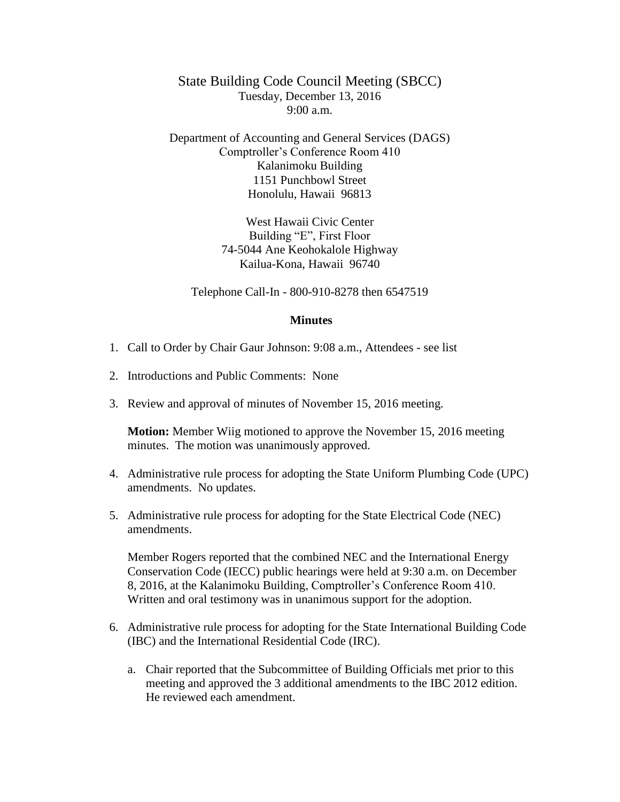State Building Code Council Meeting (SBCC) Tuesday, December 13, 2016  $9:00 a.m.$ 

Department of Accounting and General Services (DAGS) Comptroller's Conference Room 410 Kalanimoku Building 1151 Punchbowl Street Honolulu, Hawaii 96813

> West Hawaii Civic Center Building "E", First Floor 74-5044 Ane Keohokalole Highway Kailua-Kona, Hawaii 96740

Telephone Call-In - 800-910-8278 then 6547519

## **Minutes**

- 1. Call to Order by Chair Gaur Johnson: 9:08 a.m., Attendees see list
- 2. Introductions and Public Comments: None
- 3. Review and approval of minutes of November 15, 2016 meeting.

**Motion:** Member Wiig motioned to approve the November 15, 2016 meeting minutes. The motion was unanimously approved.

- 4. Administrative rule process for adopting the State Uniform Plumbing Code (UPC) amendments. No updates.
- 5. Administrative rule process for adopting for the State Electrical Code (NEC) amendments.

Member Rogers reported that the combined NEC and the International Energy Conservation Code (IECC) public hearings were held at 9:30 a.m. on December 8, 2016, at the Kalanimoku Building, Comptroller's Conference Room 410. Written and oral testimony was in unanimous support for the adoption.

- 6. Administrative rule process for adopting for the State International Building Code (IBC) and the International Residential Code (IRC).
	- a. Chair reported that the Subcommittee of Building Officials met prior to this meeting and approved the 3 additional amendments to the IBC 2012 edition. He reviewed each amendment.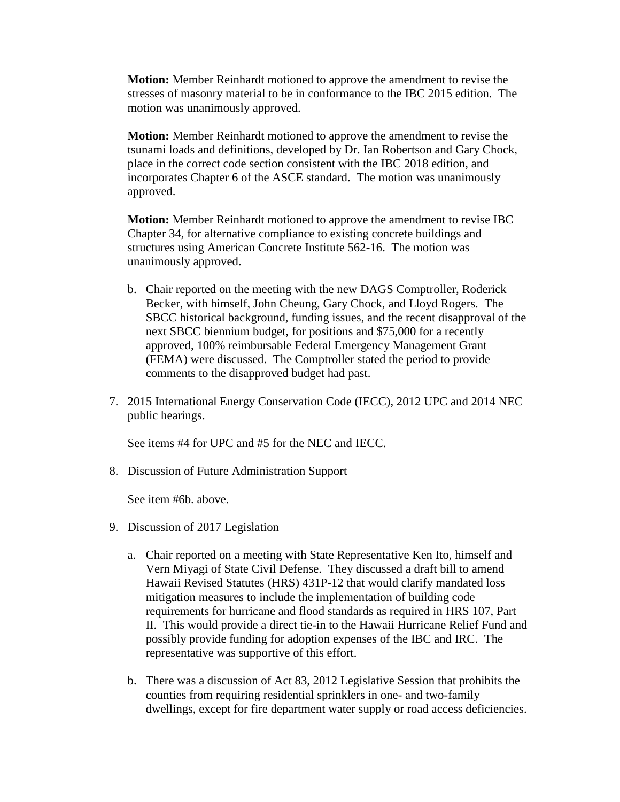**Motion:** Member Reinhardt motioned to approve the amendment to revise the stresses of masonry material to be in conformance to the IBC 2015 edition. The motion was unanimously approved.

**Motion:** Member Reinhardt motioned to approve the amendment to revise the tsunami loads and definitions, developed by Dr. Ian Robertson and Gary Chock, place in the correct code section consistent with the IBC 2018 edition, and incorporates Chapter 6 of the ASCE standard. The motion was unanimously approved.

**Motion:** Member Reinhardt motioned to approve the amendment to revise IBC Chapter 34, for alternative compliance to existing concrete buildings and structures using American Concrete Institute 562-16. The motion was unanimously approved.

- b. Chair reported on the meeting with the new DAGS Comptroller, Roderick Becker, with himself, John Cheung, Gary Chock, and Lloyd Rogers. The SBCC historical background, funding issues, and the recent disapproval of the next SBCC biennium budget, for positions and \$75,000 for a recently approved, 100% reimbursable Federal Emergency Management Grant (FEMA) were discussed. The Comptroller stated the period to provide comments to the disapproved budget had past.
- 7. 2015 International Energy Conservation Code (IECC), 2012 UPC and 2014 NEC public hearings.

See items #4 for UPC and #5 for the NEC and IECC.

8. Discussion of Future Administration Support

See item #6b. above.

- 9. Discussion of 2017 Legislation
	- a. Chair reported on a meeting with State Representative Ken Ito, himself and Vern Miyagi of State Civil Defense. They discussed a draft bill to amend Hawaii Revised Statutes (HRS) 431P-12 that would clarify mandated loss mitigation measures to include the implementation of building code requirements for hurricane and flood standards as required in HRS 107, Part II. This would provide a direct tie-in to the Hawaii Hurricane Relief Fund and possibly provide funding for adoption expenses of the IBC and IRC. The representative was supportive of this effort.
	- b. There was a discussion of Act 83, 2012 Legislative Session that prohibits the counties from requiring residential sprinklers in one- and two-family dwellings, except for fire department water supply or road access deficiencies.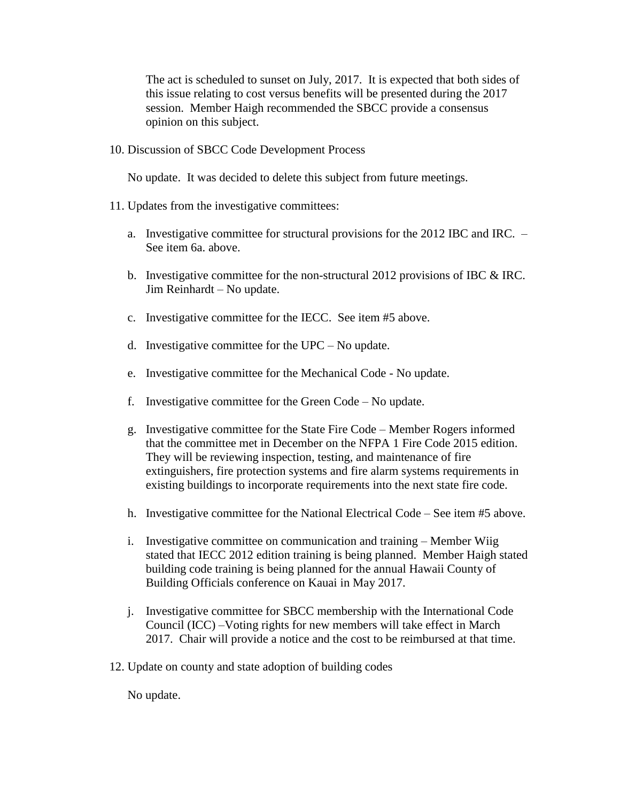The act is scheduled to sunset on July, 2017. It is expected that both sides of this issue relating to cost versus benefits will be presented during the 2017 session. Member Haigh recommended the SBCC provide a consensus opinion on this subject.

10. Discussion of SBCC Code Development Process

No update. It was decided to delete this subject from future meetings.

- 11. Updates from the investigative committees:
	- a. Investigative committee for structural provisions for the 2012 IBC and IRC. See item 6a. above.
	- b. Investigative committee for the non-structural 2012 provisions of IBC & IRC. Jim Reinhardt – No update.
	- c. Investigative committee for the IECC. See item #5 above.
	- d. Investigative committee for the UPC No update.
	- e. Investigative committee for the Mechanical Code No update.
	- f. Investigative committee for the Green Code No update.
	- g. Investigative committee for the State Fire Code Member Rogers informed that the committee met in December on the NFPA 1 Fire Code 2015 edition. They will be reviewing inspection, testing, and maintenance of fire extinguishers, fire protection systems and fire alarm systems requirements in existing buildings to incorporate requirements into the next state fire code.
	- h. Investigative committee for the National Electrical Code See item #5 above.
	- i. Investigative committee on communication and training Member Wiig stated that IECC 2012 edition training is being planned. Member Haigh stated building code training is being planned for the annual Hawaii County of Building Officials conference on Kauai in May 2017.
	- j. Investigative committee for SBCC membership with the International Code Council (ICC) –Voting rights for new members will take effect in March 2017. Chair will provide a notice and the cost to be reimbursed at that time.
- 12. Update on county and state adoption of building codes

No update.